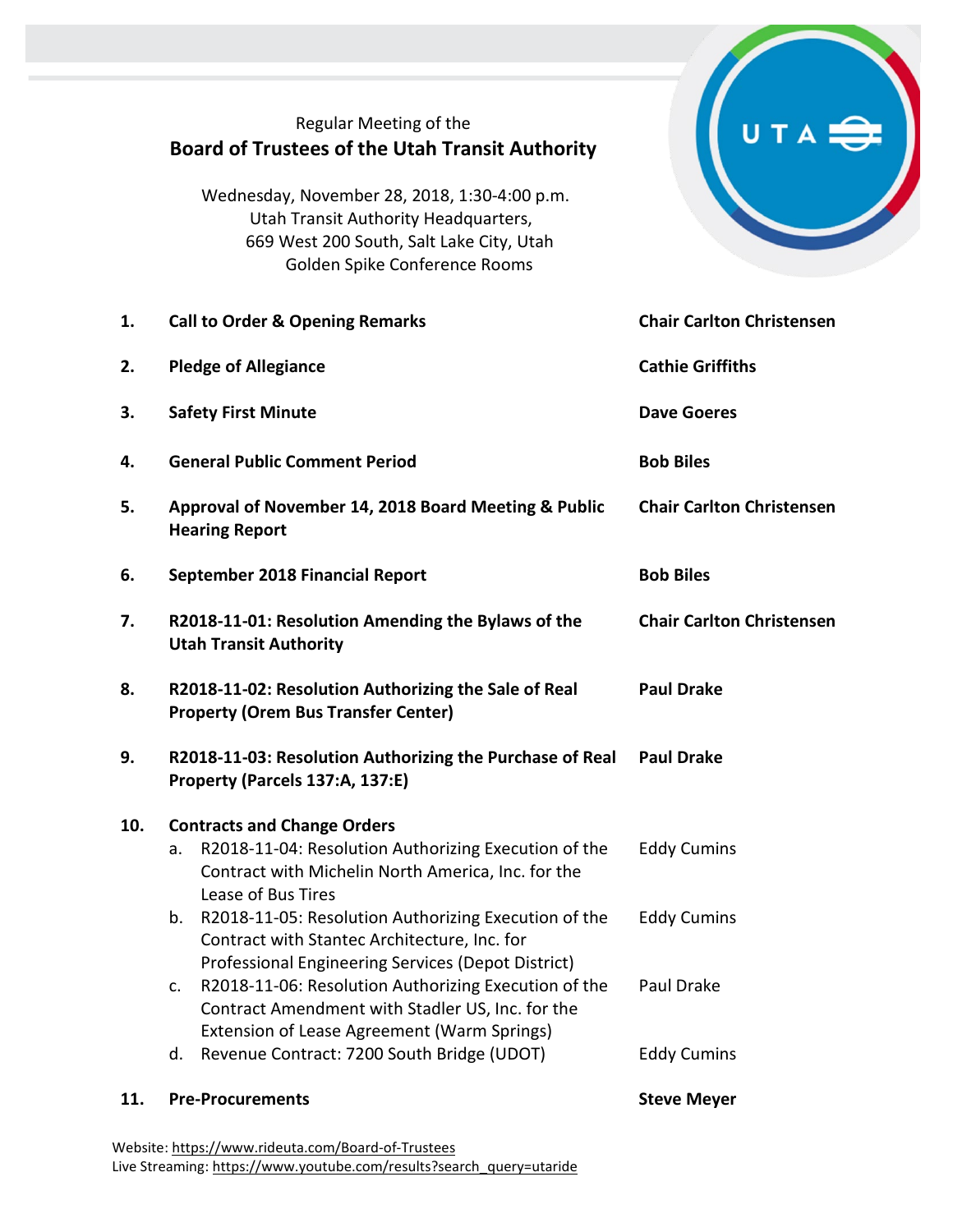## Regular Meeting of the **Board of Trustees of the Utah Transit Authority**

Wednesday, November 28, 2018, 1:30-4:00 p.m. Utah Transit Authority Headquarters, 669 West 200 South, Salt Lake City, Utah Golden Spike Conference Rooms



| 11. | <b>Pre-Procurements</b>                                                                                                                                                      | <b>Steve Meyer</b>               |
|-----|------------------------------------------------------------------------------------------------------------------------------------------------------------------------------|----------------------------------|
|     | Extension of Lease Agreement (Warm Springs)<br>Revenue Contract: 7200 South Bridge (UDOT)<br>d.                                                                              | <b>Eddy Cumins</b>               |
|     | Professional Engineering Services (Depot District)<br>R2018-11-06: Resolution Authorizing Execution of the<br>c.<br>Contract Amendment with Stadler US, Inc. for the         | Paul Drake                       |
|     | R2018-11-05: Resolution Authorizing Execution of the<br>b.<br>Contract with Stantec Architecture, Inc. for                                                                   | <b>Eddy Cumins</b>               |
| 10. | <b>Contracts and Change Orders</b><br>R2018-11-04: Resolution Authorizing Execution of the<br>a.<br>Contract with Michelin North America, Inc. for the<br>Lease of Bus Tires | <b>Eddy Cumins</b>               |
| 9.  | R2018-11-03: Resolution Authorizing the Purchase of Real<br>Property (Parcels 137:A, 137:E)                                                                                  | <b>Paul Drake</b>                |
| 8.  | R2018-11-02: Resolution Authorizing the Sale of Real<br><b>Property (Orem Bus Transfer Center)</b>                                                                           | <b>Paul Drake</b>                |
| 7.  | R2018-11-01: Resolution Amending the Bylaws of the<br><b>Utah Transit Authority</b>                                                                                          | <b>Chair Carlton Christensen</b> |
| 6.  | September 2018 Financial Report                                                                                                                                              | <b>Bob Biles</b>                 |
| 5.  | Approval of November 14, 2018 Board Meeting & Public<br><b>Hearing Report</b>                                                                                                | <b>Chair Carlton Christensen</b> |
| 4.  | <b>General Public Comment Period</b>                                                                                                                                         | <b>Bob Biles</b>                 |
| 3.  | <b>Safety First Minute</b>                                                                                                                                                   | <b>Dave Goeres</b>               |
| 2.  | <b>Pledge of Allegiance</b>                                                                                                                                                  | <b>Cathie Griffiths</b>          |
| 1.  | <b>Call to Order &amp; Opening Remarks</b>                                                                                                                                   | <b>Chair Carlton Christensen</b> |